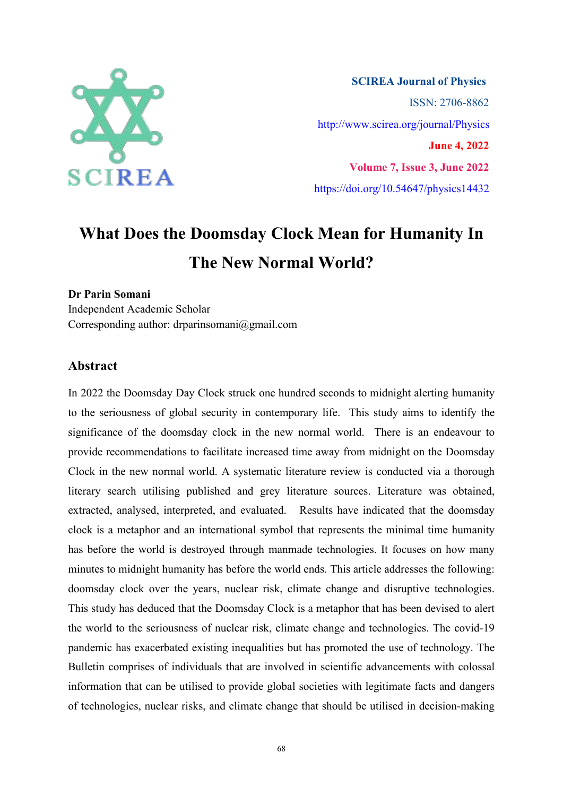

**SCIREA Journal of Physics** ISSN: 2706-8862 http://www.scirea.org/journal/Physics **June 4, 2022 Volume 7, Issue 3, June 2022** https://doi.org/10.54647/physics14432

# **What Does the Doomsday Clock Mean for Humanity In The New Normal World?**

## **Dr Parin Somani**

Independent Academic Scholar Corresponding author: drparinsomani@gmail.com

## **Abstract**

In 2022 the Doomsday Day Clock struck one hundred seconds to midnight alerting humanity to the seriousness of global security in contemporary life. This study aims to identify the significance of the doomsday clock in the new normal world. There is an endeavour to provide recommendations to facilitate increased time away from midnight on the Doomsday Clock in the new normal world. A systematic literature review is conducted via a thorough literary search utilising published and grey literature sources. Literature was obtained, extracted, analysed, interpreted, and evaluated. Results have indicated that the doomsday clock is a metaphor and an international symbol that represents the minimal time humanity has before the world is destroyed through manmade technologies. It focuses on how many minutes to midnight humanity has before the world ends. This article addresses the following: doomsday clock over the years, nuclear risk, climate change and disruptive technologies. This study has deduced that the Doomsday Clock is a metaphor that has been devised to alert the world to the seriousness of nuclear risk, climate change and technologies. The covid-19 pandemic has exacerbated existing inequalities but has promoted the use of technology. The Bulletin comprises of individuals that are involved in scientific advancements with colossal information that can be utilised to provide global societies with legitimate facts and dangers of technologies, nuclear risks, and climate change that should be utilised in decision-making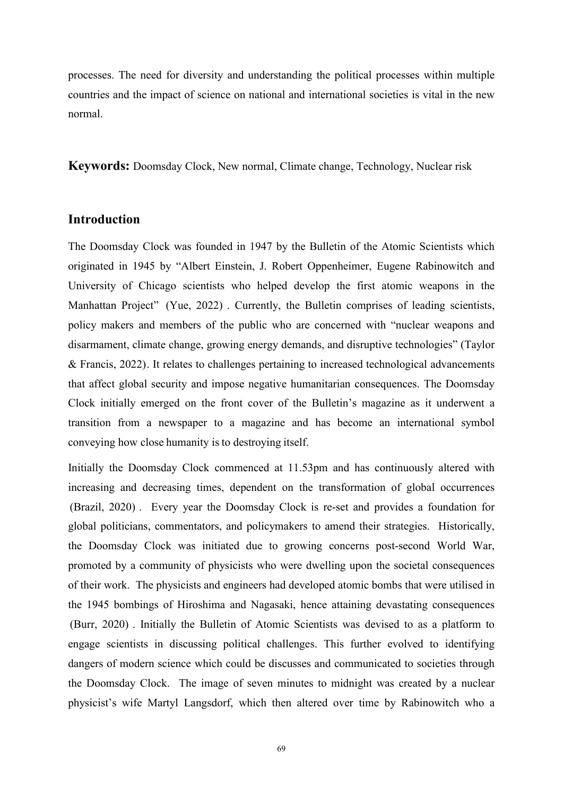processes. The need for diversity and understanding the political processes within multiple countries and the impact of science on national and international societies is vital in the new normal.

**Keywords:** Doomsday Clock, New normal, Climate change, Technology, Nuclear risk

# **Introduction**

The Doomsday Clock was founded in 1947 by the Bulletin of the Atomic Scientists which originated in 1945 by "Albert Einstein, J. Robert Oppenheimer, Eugene Rabinowitch and University of Chicago scientists who helped develop the first atomic weapons in the Manhattan Project" (Yue, 2022) . Currently, the Bulletin comprises of leading scientists, policy makers and members of the public who are concerned with "nuclear weapons and disarmament, climate change, growing energy demands, and disruptive technologies" (Taylor & Francis, 2022). It relates to challenges pertaining to increased technological advancements that affect global security and impose negative humanitarian consequences. The Doomsday Clock initially emerged on the front cover of the Bulletin's magazine as it underwent a transition from a newspaper to a magazine and has become an international symbol conveying how close humanity isto destroying itself.

Initially the Doomsday Clock commenced at 11.53pm and has continuously altered with increasing and decreasing times, dependent on the transformation of global occurrences (Brazil, 2020) . Every year the Doomsday Clock is re-set and provides a foundation for global politicians, commentators, and policymakers to amend their strategies. Historically, the Doomsday Clock was initiated due to growing concerns post-second World War, promoted by a community of physicists who were dwelling upon the societal consequences of their work. The physicists and engineers had developed atomic bombs that were utilised in the 1945 bombings of Hiroshima and Nagasaki, hence attaining devastating consequences (Burr, 2020) . Initially the Bulletin of Atomic Scientists was devised to as a platform to engage scientists in discussing political challenges. This further evolved to identifying dangers of modern science which could be discusses and communicated to societies through the Doomsday Clock. The image of seven minutes to midnight was created by a nuclear physicist's wife Martyl Langsdorf, which then altered over time by Rabinowitch who a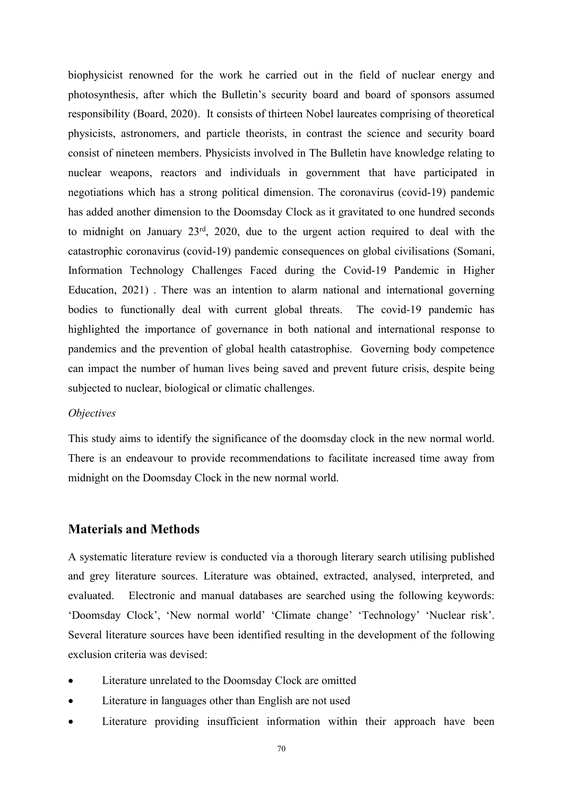biophysicist renowned for the work he carried out in the field of nuclear energy and photosynthesis, after which the Bulletin's security board and board of sponsors assumed responsibility (Board, 2020). It consists of thirteen Nobel laureates comprising of theoretical physicists, astronomers, and particle theorists, in contrast the science and security board consist of nineteen members. Physicists involved in The Bulletin have knowledge relating to nuclear weapons, reactors and individuals in government that have participated in negotiations which has a strong political dimension. The coronavirus (covid-19) pandemic has added another dimension to the Doomsday Clock as it gravitated to one hundred seconds to midnight on January 23<sup>rd</sup>, 2020, due to the urgent action required to deal with the catastrophic coronavirus (covid-19) pandemic consequences on global civilisations (Somani, Information Technology Challenges Faced during the Covid-19 Pandemic in Higher Education, 2021) . There was an intention to alarm national and international governing bodies to functionally deal with current global threats. The covid-19 pandemic has highlighted the importance of governance in both national and international response to pandemics and the prevention of global health catastrophise. Governing body competence can impact the number of human lives being saved and prevent future crisis, despite being subjected to nuclear, biological or climatic challenges.

#### *Objectives*

This study aims to identify the significance of the doomsday clock in the new normal world. There is an endeavour to provide recommendations to facilitate increased time away from midnight on the Doomsday Clock in the new normal world.

#### **Materials and Methods**

A systematic literature review is conducted via a thorough literary search utilising published and grey literature sources. Literature was obtained, extracted, analysed, interpreted, and evaluated. Electronic and manual databases are searched using the following keywords: 'Doomsday Clock', 'New normal world' 'Climate change' 'Technology' 'Nuclear risk'. Several literature sources have been identified resulting in the development of the following exclusion criteria was devised:

- Literature unrelated to the Doomsday Clock are omitted
- Literature in languages other than English are not used
- Literature providing insufficient information within their approach have been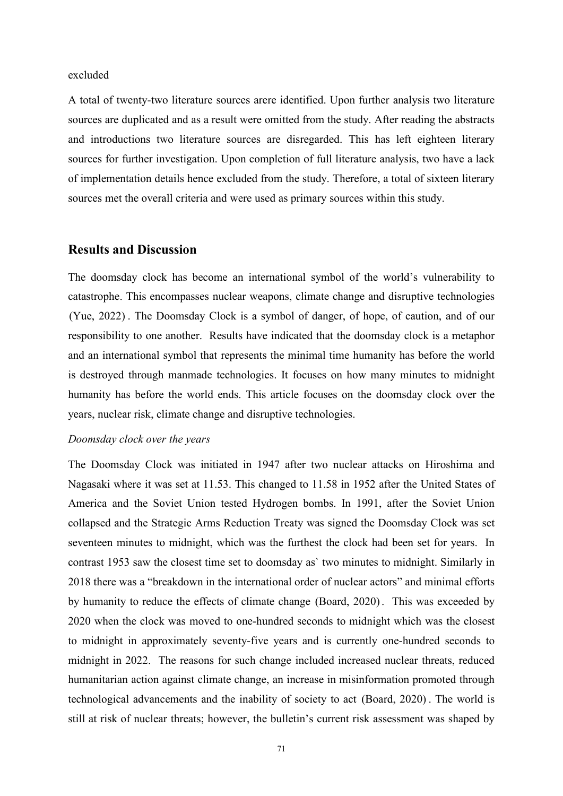excluded

A total of twenty-two literature sources arere identified. Upon further analysis two literature sources are duplicated and as a result were omitted from the study. After reading the abstracts and introductions two literature sources are disregarded. This has left eighteen literary sources for further investigation. Upon completion of full literature analysis, two have a lack of implementation details hence excluded from the study. Therefore, a total of sixteen literary sources met the overall criteria and were used as primary sources within this study.

## **Results and Discussion**

The doomsday clock has become an international symbol of the world's vulnerability to catastrophe. This encompasses nuclear weapons, climate change and disruptive technologies (Yue, 2022) . The Doomsday Clock is a symbol of danger, of hope, of caution, and of our responsibility to one another. Results have indicated that the doomsday clock is a metaphor and an international symbol that represents the minimal time humanity has before the world is destroyed through manmade technologies. It focuses on how many minutes to midnight humanity has before the world ends. This article focuses on the doomsday clock over the years, nuclear risk, climate change and disruptive technologies.

#### *Doomsday clock over the years*

The Doomsday Clock was initiated in 1947 after two nuclear attacks on Hiroshima and Nagasaki where it was set at 11.53. This changed to 11.58 in 1952 after the United States of America and the Soviet Union tested Hydrogen bombs. In 1991, after the Soviet Union collapsed and the Strategic Arms Reduction Treaty was signed the Doomsday Clock was set seventeen minutes to midnight, which was the furthest the clock had been set for years. In contrast 1953 saw the closest time set to doomsday as` two minutes to midnight. Similarly in 2018 there was a "breakdown in the international order of nuclear actors" and minimal efforts by humanity to reduce the effects of climate change (Board, 2020). This was exceeded by 2020 when the clock was moved to one-hundred seconds to midnight which was the closest to midnight in approximately seventy-five years and is currently one-hundred seconds to midnight in 2022. The reasons for such change included increased nuclear threats, reduced humanitarian action against climate change, an increase in misinformation promoted through technological advancements and the inability of society to act (Board, 2020) . The world is still at risk of nuclear threats; however, the bulletin's current risk assessment was shaped by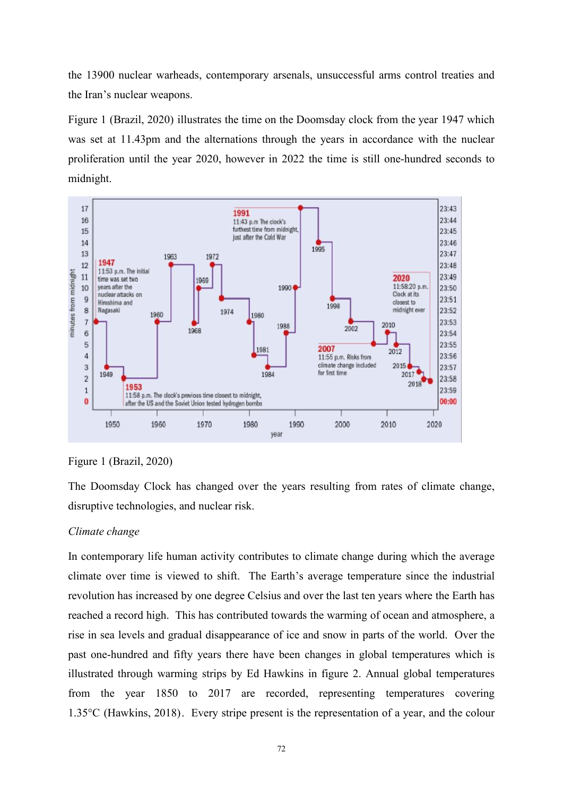the 13900 nuclear warheads, contemporary arsenals, unsuccessful arms control treaties and the Iran's nuclear weapons.

Figure 1 (Brazil, 2020) illustrates the time on the Doomsday clock from the year 1947 which was set at 11.43pm and the alternations through the years in accordance with the nuclear proliferation until the year 2020, however in 2022 the time is still one-hundred seconds to midnight.



Figure 1 (Brazil, 2020)

The Doomsday Clock has changed over the years resulting from rates of climate change, disruptive technologies, and nuclear risk.

#### *Climate change*

In contemporary life human activity contributes to climate change during which the average climate over time is viewed to shift. The Earth's average temperature since the industrial revolution has increased by one degree Celsius and over the last ten years where the Earth has reached a record high. This has contributed towards the warming of ocean and atmosphere, a rise in sea levels and gradual disappearance of ice and snow in parts of the world. Over the past one-hundred and fifty years there have been changes in global temperatures which is illustrated through warming strips by Ed Hawkins in figure 2. Annual global temperatures from the year 1850 to 2017 are recorded, representing temperatures covering  $1.35^{\circ}$ C (Hawkins, 2018). Every stripe present is the representation of a year, and the colour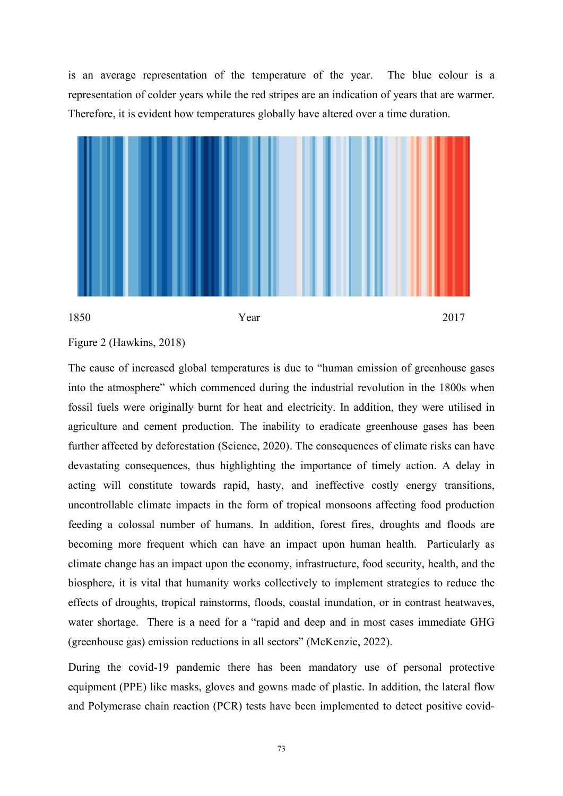is an average representation of the temperature of the year. The blue colour is a representation of colder years while the red stripes are an indication of years that are warmer. Therefore, it is evident how temperatures globally have altered over a time duration.



## Figure 2 (Hawkins, 2018)

The cause of increased global temperatures is due to "human emission of greenhouse gases into the atmosphere" which commenced during the industrial revolution in the 1800s when fossil fuels were originally burnt for heat and electricity. In addition, they were utilised in agriculture and cement production. The inability to eradicate greenhouse gases has been further affected by deforestation (Science, 2020). The consequences of climate risks can have devastating consequences, thus highlighting the importance of timely action. A delay in acting will constitute towards rapid, hasty, and ineffective costly energy transitions, uncontrollable climate impacts in the form of tropical monsoons affecting food production feeding a colossal number of humans. In addition, forest fires, droughts and floods are becoming more frequent which can have an impact upon human health. Particularly as climate change has an impact upon the economy, infrastructure, food security, health, and the biosphere, it is vital that humanity works collectively to implement strategies to reduce the effects of droughts, tropical rainstorms, floods, coastal inundation, or in contrast heatwaves, water shortage. There is a need for a "rapid and deep and in most cases immediate GHG (greenhouse gas) emission reductions in all sectors" (McKenzie, 2022).

During the covid-19 pandemic there has been mandatory use of personal protective equipment (PPE) like masks, gloves and gowns made of plastic. In addition, the lateral flow and Polymerase chain reaction (PCR) tests have been implemented to detect positive covid-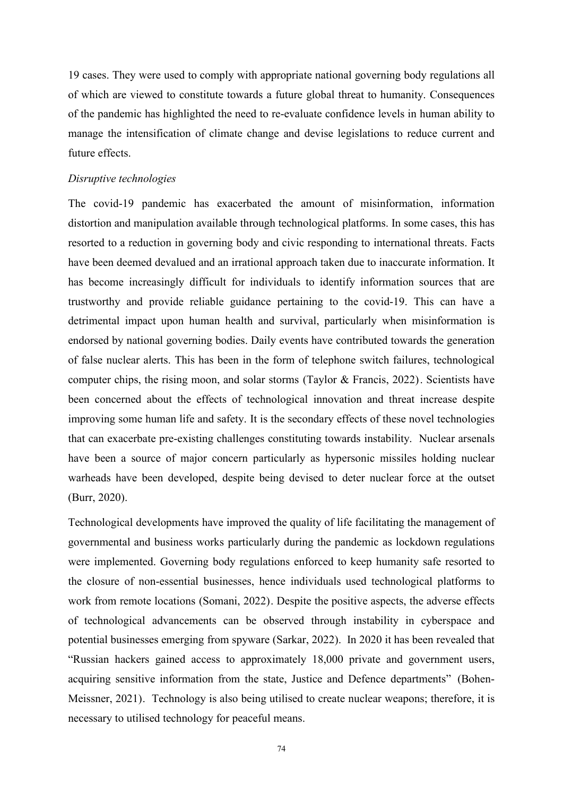19 cases. They were used to comply with appropriate national governing body regulations all of which are viewed to constitute towards a future global threat to humanity. Consequences of the pandemic has highlighted the need to re-evaluate confidence levels in human ability to manage the intensification of climate change and devise legislations to reduce current and future effects.

#### *Disruptive technologies*

The covid-19 pandemic has exacerbated the amount of misinformation, information distortion and manipulation available through technological platforms. In some cases, this has resorted to a reduction in governing body and civic responding to international threats. Facts have been deemed devalued and an irrational approach taken due to inaccurate information. It has become increasingly difficult for individuals to identify information sources that are trustworthy and provide reliable guidance pertaining to the covid-19. This can have a detrimental impact upon human health and survival, particularly when misinformation is endorsed by national governing bodies. Daily events have contributed towards the generation of false nuclear alerts. This has been in the form of telephone switch failures, technological computer chips, the rising moon, and solar storms (Taylor & Francis, 2022). Scientists have been concerned about the effects of technological innovation and threat increase despite improving some human life and safety. It is the secondary effects of these novel technologies that can exacerbate pre-existing challenges constituting towards instability. Nuclear arsenals have been a source of major concern particularly as hypersonic missiles holding nuclear warheads have been developed, despite being devised to deter nuclear force at the outset (Burr, 2020).

Technological developments have improved the quality of life facilitating the management of governmental and business works particularly during the pandemic as lockdown regulations were implemented. Governing body regulations enforced to keep humanity safe resorted to the closure of non-essential businesses, hence individuals used technological platforms to work from remote locations (Somani, 2022). Despite the positive aspects, the adverse effects of technological advancements can be observed through instability in cyberspace and potential businesses emerging from spyware (Sarkar, 2022). In 2020 it has been revealed that "Russian hackers gained access to approximately 18,000 private and government users, acquiring sensitive information from the state, Justice and Defence departments" (Bohen- Meissner, 2021). Technology is also being utilised to create nuclear weapons; therefore, it is necessary to utilised technology for peaceful means.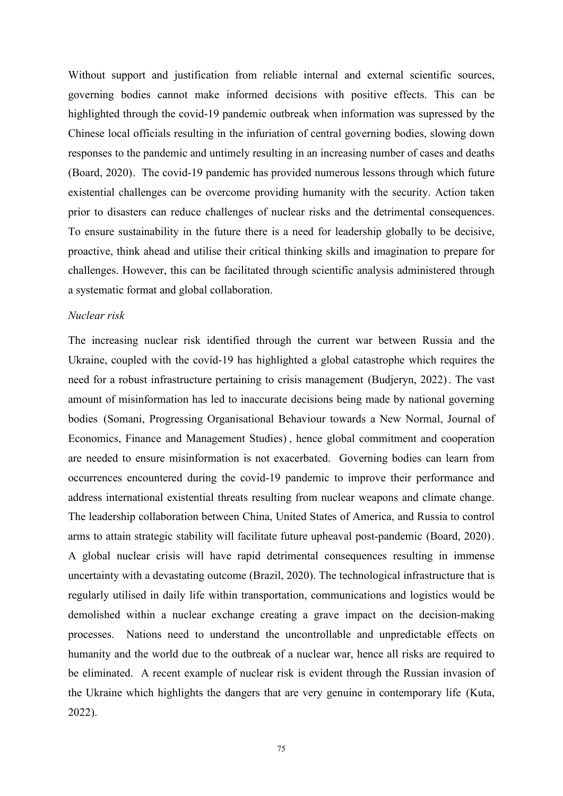Without support and justification from reliable internal and external scientific sources, governing bodies cannot make informed decisions with positive effects. This can be highlighted through the covid-19 pandemic outbreak when information was supressed by the Chinese local officials resulting in the infuriation of central governing bodies, slowing down responses to the pandemic and untimely resulting in an increasing number of cases and deaths (Board, 2020). The covid-19 pandemic has provided numerous lessons through which future existential challenges can be overcome providing humanity with the security. Action taken prior to disasters can reduce challenges of nuclear risks and the detrimental consequences. To ensure sustainability in the future there is a need for leadership globally to be decisive, proactive, think ahead and utilise their critical thinking skills and imagination to prepare for challenges. However, this can be facilitated through scientific analysis administered through a systematic format and global collaboration.

#### *Nuclear risk*

The increasing nuclear risk identified through the current war between Russia and the Ukraine, coupled with the covid-19 has highlighted a global catastrophe which requires the need for a robust infrastructure pertaining to crisis management (Budjeryn, 2022). The vast amount of misinformation has led to inaccurate decisions being made by national governing bodies (Somani, Progressing Organisational Behaviour towards a New Normal, Journal of Economics, Finance and Management Studies) , hence global commitment and cooperation are needed to ensure misinformation is not exacerbated. Governing bodies can learn from occurrences encountered during the covid-19 pandemic to improve their performance and address international existential threats resulting from nuclear weapons and climate change. The leadership collaboration between China, United States of America, and Russia to control arms to attain strategic stability will facilitate future upheaval post-pandemic (Board, 2020). A global nuclear crisis will have rapid detrimental consequences resulting in immense uncertainty with a devastating outcome (Brazil, 2020). The technological infrastructure that is regularly utilised in daily life within transportation, communications and logistics would be demolished within a nuclear exchange creating a grave impact on the decision-making processes. Nations need to understand the uncontrollable and unpredictable effects on humanity and the world due to the outbreak of a nuclear war, hence all risks are required to be eliminated. A recent example of nuclear risk is evident through the Russian invasion of the Ukraine which highlights the dangers that are very genuine in contemporary life (Kuta, 2022).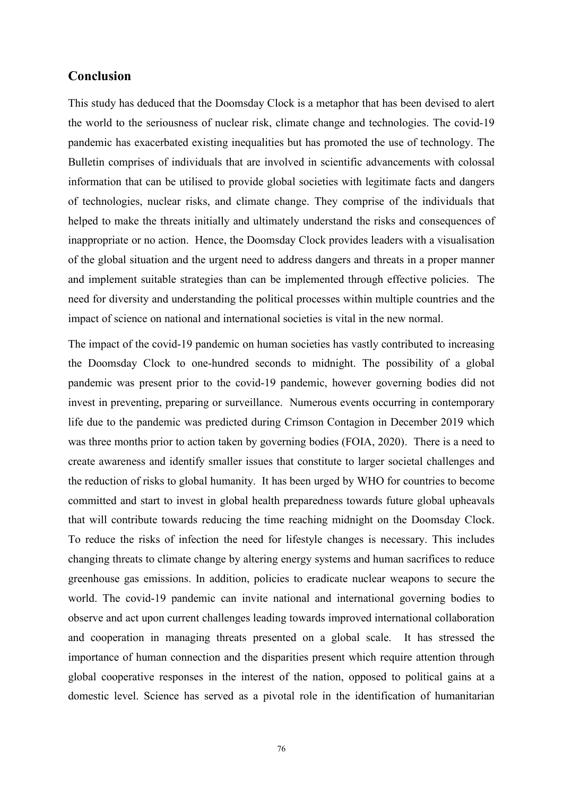# **Conclusion**

This study has deduced that the Doomsday Clock is a metaphor that has been devised to alert the world to the seriousness of nuclear risk, climate change and technologies. The covid-19 pandemic has exacerbated existing inequalities but has promoted the use of technology. The Bulletin comprises of individuals that are involved in scientific advancements with colossal information that can be utilised to provide global societies with legitimate facts and dangers of technologies, nuclear risks, and climate change. They comprise of the individuals that helped to make the threats initially and ultimately understand the risks and consequences of inappropriate or no action. Hence, the Doomsday Clock provides leaders with a visualisation of the global situation and the urgent need to address dangers and threats in a proper manner and implement suitable strategies than can be implemented through effective policies. The need for diversity and understanding the political processes within multiple countries and the impact of science on national and international societies is vital in the new normal.

The impact of the covid-19 pandemic on human societies has vastly contributed to increasing the Doomsday Clock to one-hundred seconds to midnight. The possibility of a global pandemic was present prior to the covid-19 pandemic, however governing bodies did not invest in preventing, preparing or surveillance. Numerous events occurring in contemporary life due to the pandemic was predicted during Crimson Contagion in December 2019 which was three months prior to action taken by governing bodies (FOIA, 2020). There is a need to create awareness and identify smaller issues that constitute to larger societal challenges and the reduction of risks to global humanity. It has been urged by WHO for countries to become committed and start to invest in global health preparedness towards future global upheavals that will contribute towards reducing the time reaching midnight on the Doomsday Clock. To reduce the risks of infection the need for lifestyle changes is necessary. This includes changing threats to climate change by altering energy systems and human sacrifices to reduce greenhouse gas emissions. In addition, policies to eradicate nuclear weapons to secure the world. The covid-19 pandemic can invite national and international governing bodies to observe and actupon current challenges leading towards improved international collaboration and cooperation in managing threats presented on a global scale. It has stressed the importance of human connection and the disparities present which require attention through global cooperative responses in the interest of the nation, opposed to political gains at a domestic level. Science has served as a pivotal role in the identification of humanitarian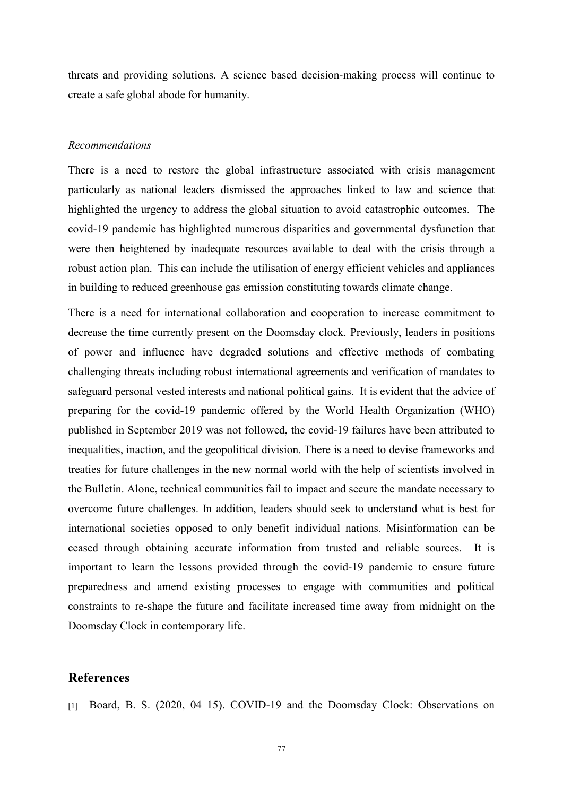threats and providing solutions. A science based decision-making process will continue to create a safe global abode for humanity.

#### *Recommendations*

There is a need to restore the global infrastructure associated with crisis management particularly as national leaders dismissed the approaches linked to law and science that highlighted the urgency to address the global situation to avoid catastrophic outcomes. The covid-19 pandemic has highlighted numerous disparities and governmental dysfunction that were then heightened by inadequate resources available to deal with the crisis through a robust action plan. This can include the utilisation of energy efficient vehicles and appliances in building to reduced greenhouse gas emission constituting towards climate change.

There is a need for international collaboration and cooperation to increase commitment to decrease the time currently present on the Doomsday clock. Previously, leaders in positions of power and influence have degraded solutions and effective methods of combating challenging threats including robust international agreements and verification of mandates to safeguard personal vested interests and national political gains. It is evident that the advice of preparing for the covid-19 pandemic offered by the World Health Organization (WHO) published in September 2019 was not followed, the covid-19 failures have been attributed to inequalities, inaction, and the geopolitical division. There is a need to devise frameworks and treaties for future challenges in the new normal world with the help of scientists involved in the Bulletin.Alone, technical communities fail to impact and secure the mandate necessary to overcome future challenges. In addition, leaders should seek to understand what is best for international societies opposed to only benefit individual nations. Misinformation can be ceased through obtaining accurate information from trusted and reliable sources. It is important to learn the lessons provided through the covid-19 pandemic to ensure future preparedness and amend existing processes to engage with communities and political constraints to re-shape the future and facilitate increased time away from midnight on the Doomsday Clock in contemporary life.

## **References**

[1] Board, B. S. (2020, 04 15). COVID-19 and the Doomsday Clock: Observations on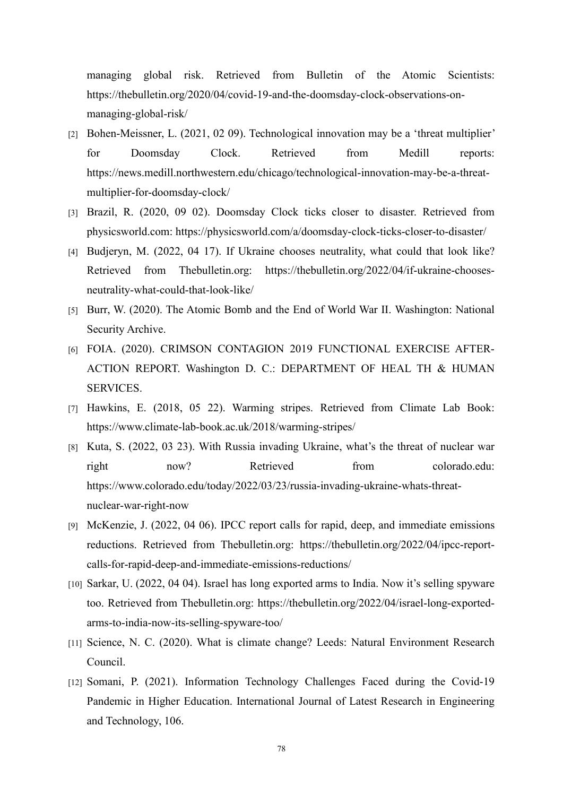managing global risk. Retrieved from Bulletin of the Atomic Scientists: https://thebulletin.org/2020/04/covid-19-and-the-doomsday-clock-observations-on managing-global-risk/

- [2] Bohen-Meissner, L. (2021, 02 09). Technological innovation may be a 'threat multiplier' for Doomsday Clock. Retrieved from Medill reports: https://news.medill.northwestern.edu/chicago/technological-innovation-may-be-a-threat multiplier-for-doomsday-clock/
- [3] Brazil, R. (2020, 09 02). Doomsday Clock ticks closer to disaster. Retrieved from physicsworld.com: https://physicsworld.com/a/doomsday-clock-ticks-closer-to-disaster/
- [4] Budjeryn, M. (2022, 04 17). If Ukraine chooses neutrality, what could that look like? Retrieved from Thebulletin.org: https://thebulletin.org/2022/04/if-ukraine-chooses neutrality-what-could-that-look-like/
- [5] Burr, W. (2020). The Atomic Bomb and the End of World War II. Washington: National Security Archive.
- [6] FOIA. (2020). CRIMSON CONTAGION 2019 FUNCTIONAL EXERCISE AFTER- ACTION REPORT. Washington D. C.: DEPARTMENT OF HEAL TH & HUMAN SERVICES.
- [7] Hawkins, E. (2018, 05 22). Warming stripes. Retrieved from Climate Lab Book: https://www.climate-lab-book.ac.uk/2018/warming-stripes/
- [8] Kuta, S. (2022, 03 23). With Russia invading Ukraine, what's the threat of nuclear war right now? Retrieved from colorado.edu: https://www.colorado.edu/today/2022/03/23/russia-invading-ukraine-whats-threat nuclear-war-right-now
- [9] McKenzie, J. (2022, 04 06). IPCC report calls forrapid, deep, and immediate emissions reductions. Retrieved from Thebulletin.org: https://thebulletin.org/2022/04/ipcc-report calls-for-rapid-deep-and-immediate-emissions-reductions/
- [10] Sarkar, U. (2022, 04 04). Israel has long exported arms to India. Now it's selling spyware too. Retrieved from Thebulletin.org: https://thebulletin.org/2022/04/israel-long-exported arms-to-india-now-its-selling-spyware-too/
- [11] Science, N. C. (2020). What is climate change? Leeds: Natural Environment Research Council.
- [12] Somani, P. (2021). Information Technology Challenges Faced during the Covid-19 Pandemic in Higher Education. International Journal of Latest Research in Engineering and Technology, 106.